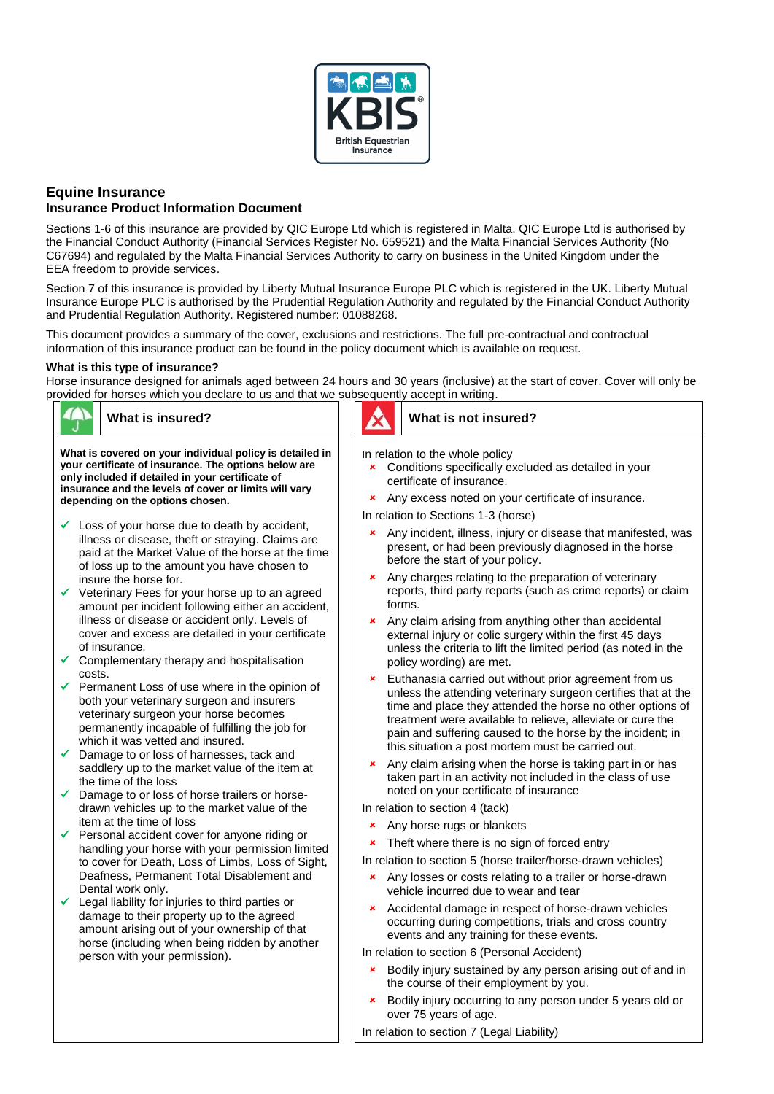

# **Equine Insurance Insurance Product Information Document**

Sections 1-6 of this insurance are provided by QIC Europe Ltd which is registered in Malta. QIC Europe Ltd is authorised by the Financial Conduct Authority (Financial Services Register No. 659521) and the Malta Financial Services Authority (No C67694) and regulated by the Malta Financial Services Authority to carry on business in the United Kingdom under the EEA freedom to provide services.

Section 7 of this insurance is provided by Liberty Mutual Insurance Europe PLC which is registered in the UK. Liberty Mutual Insurance Europe PLC is authorised by the Prudential Regulation Authority and regulated by the Financial Conduct Authority and Prudential Regulation Authority. Registered number: 01088268.

This document provides a summary of the cover, exclusions and restrictions. The full pre-contractual and contractual information of this insurance product can be found in the policy document which is available on request.

# **What is this type of insurance?**

Horse insurance designed for animals aged between 24 hours and 30 years (inclusive) at the start of cover. Cover will only be provided for horses which you declare to us and that we subsequently accept in writing.

| What is insured?                                                                                                                                                                                                                                                                                                                                                                                                                                                                                                                                                                                                                                                                                                                                                                                                                                                                                                                                              | What is not insured?                                                                                                                                                                                                                                                                                                                                                                     |
|---------------------------------------------------------------------------------------------------------------------------------------------------------------------------------------------------------------------------------------------------------------------------------------------------------------------------------------------------------------------------------------------------------------------------------------------------------------------------------------------------------------------------------------------------------------------------------------------------------------------------------------------------------------------------------------------------------------------------------------------------------------------------------------------------------------------------------------------------------------------------------------------------------------------------------------------------------------|------------------------------------------------------------------------------------------------------------------------------------------------------------------------------------------------------------------------------------------------------------------------------------------------------------------------------------------------------------------------------------------|
| What is covered on your individual policy is detailed in<br>your certificate of insurance. The options below are<br>only included if detailed in your certificate of<br>insurance and the levels of cover or limits will vary<br>depending on the options chosen.                                                                                                                                                                                                                                                                                                                                                                                                                                                                                                                                                                                                                                                                                             | In relation to the whole policy<br><b>x</b> Conditions specifically excluded as detailed in your<br>certificate of insurance.<br>Any excess noted on your certificate of insurance.<br>$\pmb{\times}$                                                                                                                                                                                    |
| Loss of your horse due to death by accident,<br>illness or disease, theft or straying. Claims are<br>paid at the Market Value of the horse at the time<br>of loss up to the amount you have chosen to<br>insure the horse for.<br>$\checkmark$<br>Veterinary Fees for your horse up to an agreed<br>amount per incident following either an accident,<br>illness or disease or accident only. Levels of<br>cover and excess are detailed in your certificate<br>of insurance.<br>✓<br>Complementary therapy and hospitalisation<br>costs.<br>✓<br>Permanent Loss of use where in the opinion of<br>both your veterinary surgeon and insurers<br>veterinary surgeon your horse becomes<br>permanently incapable of fulfilling the job for<br>which it was vetted and insured.<br>✓<br>Damage to or loss of harnesses, tack and<br>saddlery up to the market value of the item at<br>the time of the loss<br>✓<br>Damage to or loss of horse trailers or horse- | In relation to Sections 1-3 (horse)                                                                                                                                                                                                                                                                                                                                                      |
|                                                                                                                                                                                                                                                                                                                                                                                                                                                                                                                                                                                                                                                                                                                                                                                                                                                                                                                                                               | Any incident, illness, injury or disease that manifested, was<br>×<br>present, or had been previously diagnosed in the horse<br>before the start of your policy.                                                                                                                                                                                                                         |
|                                                                                                                                                                                                                                                                                                                                                                                                                                                                                                                                                                                                                                                                                                                                                                                                                                                                                                                                                               | Any charges relating to the preparation of veterinary<br>$\pmb{\times}$<br>reports, third party reports (such as crime reports) or claim<br>forms.                                                                                                                                                                                                                                       |
|                                                                                                                                                                                                                                                                                                                                                                                                                                                                                                                                                                                                                                                                                                                                                                                                                                                                                                                                                               | Any claim arising from anything other than accidental<br>$\pmb{\times}$<br>external injury or colic surgery within the first 45 days<br>unless the criteria to lift the limited period (as noted in the<br>policy wording) are met.                                                                                                                                                      |
|                                                                                                                                                                                                                                                                                                                                                                                                                                                                                                                                                                                                                                                                                                                                                                                                                                                                                                                                                               | Euthanasia carried out without prior agreement from us<br>$\pmb{\times}$<br>unless the attending veterinary surgeon certifies that at the<br>time and place they attended the horse no other options of<br>treatment were available to relieve, alleviate or cure the<br>pain and suffering caused to the horse by the incident; in<br>this situation a post mortem must be carried out. |
|                                                                                                                                                                                                                                                                                                                                                                                                                                                                                                                                                                                                                                                                                                                                                                                                                                                                                                                                                               | Any claim arising when the horse is taking part in or has<br>×<br>taken part in an activity not included in the class of use<br>noted on your certificate of insurance                                                                                                                                                                                                                   |
| drawn vehicles up to the market value of the                                                                                                                                                                                                                                                                                                                                                                                                                                                                                                                                                                                                                                                                                                                                                                                                                                                                                                                  | In relation to section 4 (tack)                                                                                                                                                                                                                                                                                                                                                          |
| item at the time of loss<br>✔ Personal accident cover for anyone riding or<br>handling your horse with your permission limited<br>to cover for Death, Loss of Limbs, Loss of Sight,<br>Deafness, Permanent Total Disablement and<br>Dental work only.<br>Legal liability for injuries to third parties or<br>damage to their property up to the agreed<br>amount arising out of your ownership of that<br>horse (including when being ridden by another<br>person with your permission).                                                                                                                                                                                                                                                                                                                                                                                                                                                                      | Any horse rugs or blankets<br>$\pmb{\times}$                                                                                                                                                                                                                                                                                                                                             |
|                                                                                                                                                                                                                                                                                                                                                                                                                                                                                                                                                                                                                                                                                                                                                                                                                                                                                                                                                               | Theft where there is no sign of forced entry<br>$\pmb{\times}$                                                                                                                                                                                                                                                                                                                           |
|                                                                                                                                                                                                                                                                                                                                                                                                                                                                                                                                                                                                                                                                                                                                                                                                                                                                                                                                                               | In relation to section 5 (horse trailer/horse-drawn vehicles)                                                                                                                                                                                                                                                                                                                            |
|                                                                                                                                                                                                                                                                                                                                                                                                                                                                                                                                                                                                                                                                                                                                                                                                                                                                                                                                                               | Any losses or costs relating to a trailer or horse-drawn<br>×<br>vehicle incurred due to wear and tear                                                                                                                                                                                                                                                                                   |
|                                                                                                                                                                                                                                                                                                                                                                                                                                                                                                                                                                                                                                                                                                                                                                                                                                                                                                                                                               | Accidental damage in respect of horse-drawn vehicles<br>×<br>occurring during competitions, trials and cross country<br>events and any training for these events.                                                                                                                                                                                                                        |
|                                                                                                                                                                                                                                                                                                                                                                                                                                                                                                                                                                                                                                                                                                                                                                                                                                                                                                                                                               | In relation to section 6 (Personal Accident)                                                                                                                                                                                                                                                                                                                                             |
|                                                                                                                                                                                                                                                                                                                                                                                                                                                                                                                                                                                                                                                                                                                                                                                                                                                                                                                                                               | Bodily injury sustained by any person arising out of and in<br>$\pmb{\times}$<br>the course of their employment by you.                                                                                                                                                                                                                                                                  |
|                                                                                                                                                                                                                                                                                                                                                                                                                                                                                                                                                                                                                                                                                                                                                                                                                                                                                                                                                               | Bodily injury occurring to any person under 5 years old or<br>$\pmb{\times}$<br>over 75 years of age.                                                                                                                                                                                                                                                                                    |
|                                                                                                                                                                                                                                                                                                                                                                                                                                                                                                                                                                                                                                                                                                                                                                                                                                                                                                                                                               | In relation to section 7 (Legal Liability)                                                                                                                                                                                                                                                                                                                                               |